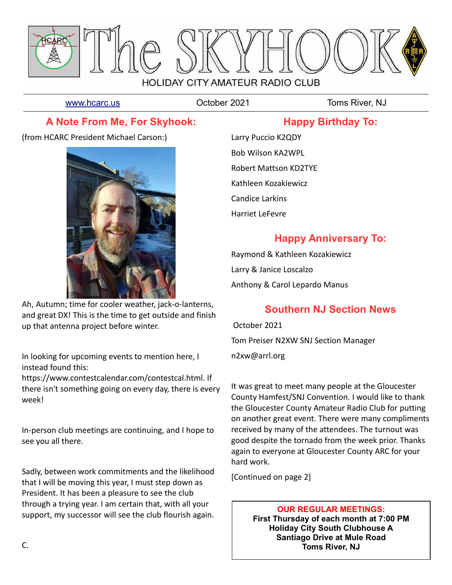

[www.hcarc.us](http://www.hcarc.us/) **Colober 2021** Toms River, NJ

### **A Note From Me, For Skyhook:**

(from HCARC President Michael Carson:)



Ah, Autumn; time for cooler weather, jack-o-lanterns, and great DX! This is the time to get outside and finish up that antenna project before winter.

In looking for upcoming events to mention here, I instead found this:

https://www.contestcalendar.com/contestcal.html. If there isn't something going on every day, there is every week!

In-person club meetings are continuing, and I hope to see you all there.

Sadly, between work commitments and the likelihood that I will be moving this year, I must step down as President. It has been a pleasure to see the club through a trying year. I am certain that, with all your support, my successor will see the club flourish again.

Larry Puccio K2QDY Bob Wilson KA2WPL Robert Mattson KD2TYE Kathleen Kozakiewicz Candice Larkins Harriet LeFevre

## **Happy Anniversary To:**

**Happy Birthday To:**

Raymond & Kathleen Kozakiewicz Larry & Janice Loscalzo Anthony & Carol Lepardo Manus

# **Southern NJ Section News**

 October 2021 Tom Preiser N2XW SNJ Section Manager n2xw@arrl.org

It was great to meet many people at the Gloucester County Hamfest/SNJ Convention. I would like to thank the Gloucester County Amateur Radio Club for putting on another great event. There were many compliments received by many of the attendees. The turnout was good despite the tornado from the week prior. Thanks again to everyone at Gloucester County ARC for your hard work.

[Continued on page 2]

**OUR REGULAR MEETINGS: First Thursday of each month at 7:00 PM Holiday City South Clubhouse A Santiago Drive at Mule Road Toms River, NJ**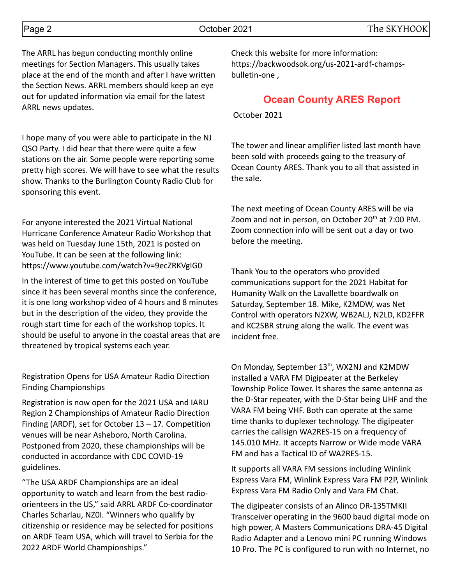The ARRL has begun conducting monthly online meetings for Section Managers. This usually takes place at the end of the month and after I have written the Section News. ARRL members should keep an eye out for updated information via email for the latest ARRL news updates.

I hope many of you were able to participate in the NJ QSO Party. I did hear that there were quite a few stations on the air. Some people were reporting some pretty high scores. We will have to see what the results show. Thanks to the Burlington County Radio Club for sponsoring this event.

For anyone interested the 2021 Virtual National Hurricane Conference Amateur Radio Workshop that was held on Tuesday June 15th, 2021 is posted on YouTube. It can be seen at the following link: https://www.youtube.com/watch?v=9ecZRKVgIG0

In the interest of time to get this posted on YouTube since it has been several months since the conference, it is one long workshop video of 4 hours and 8 minutes but in the description of the video, they provide the rough start time for each of the workshop topics. It should be useful to anyone in the coastal areas that are threatened by tropical systems each year.

Registration Opens for USA Amateur Radio Direction Finding Championships

Registration is now open for the 2021 USA and IARU Region 2 Championships of Amateur Radio Direction Finding (ARDF), set for October 13 – 17. Competition venues will be near Asheboro, North Carolina. Postponed from 2020, these championships will be conducted in accordance with CDC COVID-19 guidelines.

"The USA ARDF Championships are an ideal opportunity to watch and learn from the best radioorienteers in the US," said ARRL ARDF Co-coordinator Charles Scharlau, NZ0I. "Winners who qualify by citizenship or residence may be selected for positions on ARDF Team USA, which will travel to Serbia for the 2022 ARDF World Championships."

Check this website for more information: https://backwoodsok.org/us-2021-ardf-champsbulletin-one ,

### **Ocean County ARES Report**

October 2021

The tower and linear amplifier listed last month have been sold with proceeds going to the treasury of Ocean County ARES. Thank you to all that assisted in the sale.

The next meeting of Ocean County ARES will be via Zoom and not in person, on October  $20<sup>th</sup>$  at 7:00 PM. Zoom connection info will be sent out a day or two before the meeting.

Thank You to the operators who provided communications support for the 2021 Habitat for Humanity Walk on the Lavallette boardwalk on Saturday, September 18. Mike, K2MDW, was Net Control with operators N2XW, WB2ALJ, N2LD, KD2FFR and KC2SBR strung along the walk. The event was incident free.

On Monday, September 13<sup>th</sup>, WX2NJ and K2MDW installed a VARA FM Digipeater at the Berkeley Township Police Tower. It shares the same antenna as the D-Star repeater, with the D-Star being UHF and the VARA FM being VHF. Both can operate at the same time thanks to duplexer technology. The digipeater carries the callsign WA2RES-15 on a frequency of 145.010 MHz. It accepts Narrow or Wide mode VARA FM and has a Tactical ID of WA2RES-15.

It supports all VARA FM sessions including Winlink Express Vara FM, Winlink Express Vara FM P2P, Winlink Express Vara FM Radio Only and Vara FM Chat.

The digipeater consists of an Alinco DR-135TMKII Transceiver operating in the 9600 baud digital mode on high power, A Masters Communications DRA-45 Digital Radio Adapter and a Lenovo mini PC running Windows 10 Pro. The PC is configured to run with no Internet, no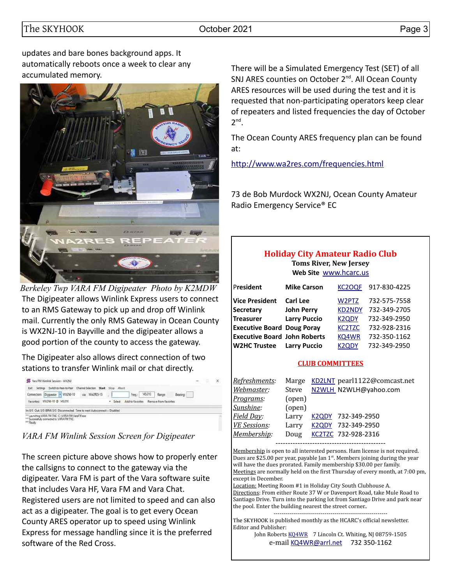updates and bare bones background apps. It automatically reboots once a week to clear any accumulated memory.



The Digipeater allows Winlink Express users to connect to an RMS Gateway to pick up and drop off Winlink mail. Currently the only RMS Gateway in Ocean County is WX2NJ-10 in Bayville and the digipeater allows a good portion of the county to access the gateway. *Berkeley Twp VARA FM Digipeater Photo by K2MDW*

The Digipeater also allows direct connection of two stations to transfer Winlink mail or chat directly.

| Wra FM Winlink Session - WX2NJ                                                                                                                  |                  |                  |                       |         | о | $\times$ |
|-------------------------------------------------------------------------------------------------------------------------------------------------|------------------|------------------|-----------------------|---------|---|----------|
| Switch to Peer-to-Peer<br>Fall<br>Channel Selection                                                                                             | Start Stop Abort |                  |                       |         |   |          |
| Connection: Digipeater - WX2NJ-10<br>via WAZRES-15                                                                                              |                  | Freq.            | 145,010<br>Range      | Beanno: |   |          |
| WX2NJ-10 @ 145.010<br>Favorites:                                                                                                                |                  | Add to favorites | Remove from favorites |         |   |          |
| in: 0/0 Out: 0/0 BPM: 0/0 Disconnected Time to next Autoconnect = Disabled                                                                      |                  |                  |                       |         |   |          |
| Launching VARA FM TNC: C:\VARA FM\VaraFM.exe<br>Successfully connected to VARA FM TNC.<br>*** Ready<br>아버지는 아이들은 아이들은 아이들이 아니라 아이들이 없었다.<br>120 |                  |                  |                       |         |   |          |

*VARA FM Winlink Session Screen for Digipeater*

The screen picture above shows how to properly enter the callsigns to connect to the gateway via the digipeater. Vara FM is part of the Vara software suite that includes Vara HF, Vara FM and Vara Chat. Registered users are not limited to speed and can also act as a digipeater. The goal is to get every Ocean County ARES operator up to speed using Winlink Express for message handling since it is the preferred software of the Red Cross.

There will be a Simulated Emergency Test (SET) of all SNJ ARES counties on October 2<sup>nd</sup>. All Ocean County ARES resources will be used during the test and it is requested that non-participating operators keep clear of repeaters and listed frequencies the day of October  $2^{nd}$ .

The Ocean County ARES frequency plan can be found at:

<http://www.wa2res.com/frequencies.html>

73 de Bob Murdock WX2NJ, Ocean County Amateur Radio Emergency Service® EC

#### **Holiday City Amateur Radio Club Toms River, New Jersey**

**Web Site** [www.hcarc.us](http://www.hcarc.us/)

| President                           | <b>Mike Carson</b>  | KC2OQF        | 917-830-4225 |
|-------------------------------------|---------------------|---------------|--------------|
| <b>Vice President</b>               | <b>Carl Lee</b>     | W2PTZ         | 732-575-7558 |
| <b>Secretary</b>                    | <b>John Perry</b>   | <b>KD2NDY</b> | 732-349-2705 |
| <b>Treasurer</b>                    | <b>Larry Puccio</b> | <b>K2QDY</b>  | 732-349-2950 |
| <b>Executive Board Doug Poray</b>   |                     | <b>KC2TZC</b> | 732-928-2316 |
| <b>Executive Board John Roberts</b> |                     | KQ4WR         | 732-350-1162 |
| W2HC Trustee                        | <b>Larry Puccio</b> | <b>K2ODY</b>  | 732-349-2950 |

#### **CLUB COMMITTEES**

| Marge  | KD2LNT pearl1122@comcast.net |
|--------|------------------------------|
|        | N2WLH N2WLH@yahoo.com        |
| (open) |                              |
| (open) |                              |
| Larry  | K2QDY 732-349-2950           |
| Larry  | K2QDY 732-349-2950           |
| Doug   | KC2TZC 732-928-2316          |
|        | Steve                        |

---------------------------------------------

Membership is open to all interested persons. Ham license is not required. Dues are \$25.00 per year, payable Jan  $1<sup>st</sup>$ . Members joining during the year will have the dues prorated. Family membership \$30.00 per family. Meetings are normally held on the first Thursday of every month, at 7:00 pm, except in December.

Location: Meeting Room #1 in Holiday City South Clubhouse A. Directions: From either Route 37 W or Davenport Road, take Mule Road to Santiago Drive. Turn into the parking lot from Santiago Drive and park near the pool. Enter the building nearest the street corner..

---------------------------------------------------------- The SKYHOOK is published monthly as the HCARC's official newsletter. Editor and Publisher:

John Roberts [KQ4WR](mailto:kq4wr@arrl.net) 7 Lincoln Ct. Whiting, NJ 08759-1505 e-mail [KQ4WR@arrl.net](mailto:KQ4WR@arrl.net) 732 350-1162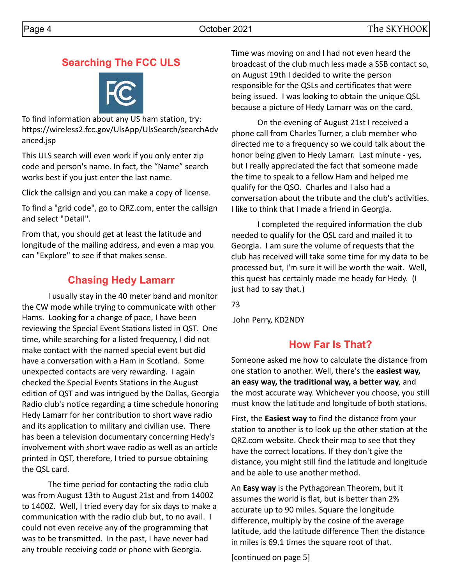### **Searching The FCC ULS**



To find information about any US ham station, try: https://wireless2.fcc.gov/UlsApp/UlsSearch/searchAdv anced.jsp

This ULS search will even work if you only enter zip code and person's name. In fact, the "Name" search works best if you just enter the last name.

Click the callsign and you can make a copy of license.

To find a "grid code", go to QRZ.com, enter the callsign and select "Detail".

From that, you should get at least the latitude and longitude of the mailing address, and even a map you can "Explore" to see if that makes sense.

## **Chasing Hedy Lamarr**

I usually stay in the 40 meter band and monitor the CW mode while trying to communicate with other Hams. Looking for a change of pace, I have been reviewing the Special Event Stations listed in QST. One time, while searching for a listed frequency, I did not make contact with the named special event but did have a conversation with a Ham in Scotland. Some unexpected contacts are very rewarding. I again checked the Special Events Stations in the August edition of QST and was intrigued by the Dallas, Georgia Radio club's notice regarding a time schedule honoring Hedy Lamarr for her contribution to short wave radio and its application to military and civilian use. There has been a television documentary concerning Hedy's involvement with short wave radio as well as an article printed in QST, therefore, I tried to pursue obtaining the QSL card.

The time period for contacting the radio club was from August 13th to August 21st and from 1400Z to 1400Z. Well, I tried every day for six days to make a communication with the radio club but, to no avail. I could not even receive any of the programming that was to be transmitted. In the past, I have never had any trouble receiving code or phone with Georgia.

Time was moving on and I had not even heard the broadcast of the club much less made a SSB contact so, on August 19th I decided to write the person responsible for the QSLs and certificates that were being issued. I was looking to obtain the unique QSL because a picture of Hedy Lamarr was on the card.

On the evening of August 21st I received a phone call from Charles Turner, a club member who directed me to a frequency so we could talk about the honor being given to Hedy Lamarr. Last minute - yes, but I really appreciated the fact that someone made the time to speak to a fellow Ham and helped me qualify for the QSO. Charles and I also had a conversation about the tribute and the club's activities. I like to think that I made a friend in Georgia.

I completed the required information the club needed to qualify for the QSL card and mailed it to Georgia. I am sure the volume of requests that the club has received will take some time for my data to be processed but, I'm sure it will be worth the wait. Well, this quest has certainly made me heady for Hedy. (I just had to say that.)

73

John Perry, KD2NDY

## **How Far Is That?**

Someone asked me how to calculate the distance from one station to another. Well, there's the **easiest way, an easy way, the traditional way, a better way**, and the most accurate way. Whichever you choose, you still must know the latitude and longitude of both stations.

First, the **Easiest way** to find the distance from your station to another is to look up the other station at the QRZ.com website. Check their map to see that they have the correct locations. If they don't give the distance, you might still find the latitude and longitude and be able to use another method.

An **Easy way** is the Pythagorean Theorem, but it assumes the world is flat, but is better than 2% accurate up to 90 miles. Square the longitude difference, multiply by the cosine of the average latitude, add the latitude difference Then the distance in miles is 69.1 times the square root of that.

[continued on page 5]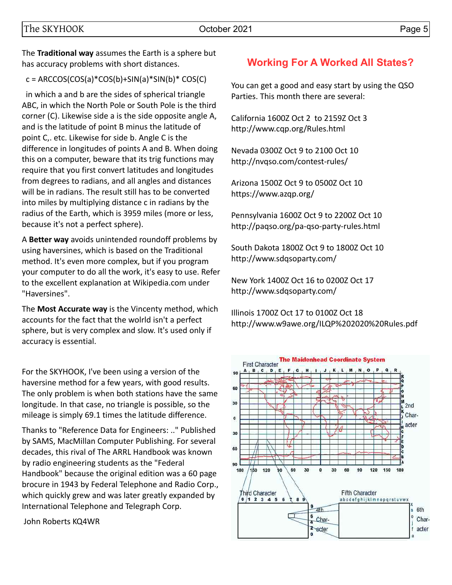The **Traditional way** assumes the Earth is a sphere but has accuracy problems with short distances.

 $c =$  ARCCOS(COS(a)\*COS(b)+SIN(a)\*SIN(b)\* COS(C)

 in which a and b are the sides of spherical triangle ABC, in which the North Pole or South Pole is the third corner (C). Likewise side a is the side opposite angle A, and is the latitude of point B minus the latitude of point C,. etc. Likewise for side b. Angle C is the difference in longitudes of points A and B. When doing this on a computer, beware that its trig functions may require that you first convert latitudes and longitudes from degrees to radians, and all angles and distances will be in radians. The result still has to be converted into miles by multiplying distance c in radians by the radius of the Earth, which is 3959 miles (more or less, because it's not a perfect sphere).

A **Better way** avoids unintended roundoff problems by using haversines, which is based on the Traditional method. It's even more complex, but if you program your computer to do all the work, it's easy to use. Refer to the excellent explanation at Wikipedia.com under "Haversines".

The **Most Accurate way** is the Vincenty method, which accounts for the fact that the wolrld isn't a perfect sphere, but is very complex and slow. It's used only if accuracy is essential.

For the SKYHOOK, I've been using a version of the haversine method for a few years, with good results. The only problem is when both stations have the same longitude. In that case, no triangle is possible, so the mileage is simply 69.1 times the latitude difference.

Thanks to "Reference Data for Engineers: .." Published by SAMS, MacMillan Computer Publishing. For several decades, this rival of The ARRL Handbook was known by radio engineering students as the "Federal Handbook" because the original edition was a 60 page brocure in 1943 by Federal Telephone and Radio Corp., which quickly grew and was later greatly expanded by International Telephone and Telegraph Corp.

John Roberts KQ4WR

#### **Working For A Worked All States?**

You can get a good and easy start by using the QSO Parties. This month there are several:

California 1600Z Oct 2 to 2159Z Oct 3 http://www.cqp.org/Rules.html

Nevada 0300Z Oct 9 to 2100 Oct 10 http://nvqso.com/contest-rules/

Arizona 1500Z Oct 9 to 0500Z Oct 10 https://www.azqp.org/

Pennsylvania 1600Z Oct 9 to 2200Z Oct 10 http://paqso.org/pa-qso-party-rules.html

South Dakota 1800Z Oct 9 to 1800Z Oct 10 http://www.sdqsoparty.com/

New York 1400Z Oct 16 to 0200Z Oct 17 http://www.sdqsoparty.com/

Illinois 1700Z Oct 17 to 0100Z Oct 18 http://www.w9awe.org/ILQP%202020%20Rules.pdf

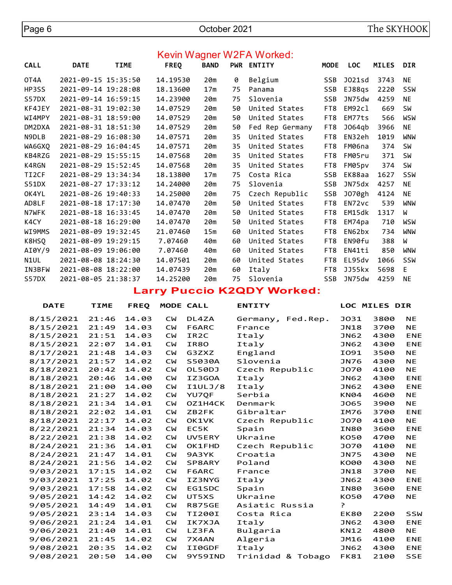#### Kevin Wagner W2FA Worked:

| <b>CALL</b> | <b>DATE</b>         | <b>TIME</b> | <b>FREQ</b> | <b>BAND</b>     |    | PWR ENTITY      | <b>MODE</b> | <b>LOC</b> | <b>MILES</b> | <b>DIR</b> |
|-------------|---------------------|-------------|-------------|-----------------|----|-----------------|-------------|------------|--------------|------------|
| OT4A        | 2021-09-15 15:35:50 |             | 14.19530    | 20m             | 0  | Belgium         | <b>SSB</b>  | J021sd     | 3743         | NE         |
| HP3SS       | 2021-09-14 19:28:08 |             | 18.13600    | 17 <sub>m</sub> | 75 | Panama          | <b>SSB</b>  | EJ88qs     | 2220         | <b>SSW</b> |
| S57DX       | 2021-09-14 16:59:15 |             | 14.23900    | 20m             | 75 | Slovenia        | <b>SSB</b>  | JN75dw     | 4259         | <b>NE</b>  |
| KF4JEY      | 2021-08-31 19:02:30 |             | 14.07529    | 20m             | 50 | United States   | FT8         | EM92cl     | 669          | SW         |
| WI4MPY      | 2021-08-31 18:59:00 |             | 14.07529    | 20m             | 50 | United States   | FT8         | EM77ts     | 566          | WSW        |
| DM2DXA      | 2021-08-31 18:51:30 |             | 14.07529    | 20m             | 50 | Fed Rep Germany | FT8         | J064qb     | 3966         | <b>NE</b>  |
| N9DLB       | 2021-08-29 16:08:30 |             | 14.07571    | 20m             | 35 | United States   | FT8         | EN32eh     | 1019         | <b>WNW</b> |
| WA6GXQ      | 2021-08-29 16:04:45 |             | 14.07571    | 20m             | 35 | United States   | FT8         | FM06na     | 374          | <b>SW</b>  |
| KB4RZG      | 2021-08-29 15:55:15 |             | 14.07568    | 20m             | 35 | United States   | FT8         | FM05ru     | 371          | SW         |
| K4RGN       | 2021-08-29 15:52:45 |             | 14.07568    | 20m             | 35 | United States   | FT8         | FM05pv     | 374          | <b>SW</b>  |
| TI2CF       | 2021-08-29 13:34:34 |             | 18.13800    | 17 <sub>m</sub> | 75 | Costa Rica      | <b>SSB</b>  | EK88aa     | 1627         | SSW        |
| S51DX       | 2021-08-27 17:33:12 |             | 14.24000    | 20m             | 75 | Slovenia        | <b>SSB</b>  | JN75dx     | 4257         | <b>NE</b>  |
| OK4YL       | 2021-08-26 19:40:33 |             | 14.25000    | 20m             | 75 | Czech Republic  | <b>SSB</b>  | J070gh     | 4124         | NE         |
| AD8LF       | 2021-08-18 17:17:30 |             | 14.07470    | 20m             | 50 | United States   | FT8         | EN72vc     | 539          | WNW        |
| N7WFK       | 2021-08-18 16:33:45 |             | 14.07470    | 20m             | 50 | United States   | FT8         | EM15dk     | 1317         | W          |
| K4CY        | 2021-08-18 16:29:00 |             | 14.07470    | 20m             | 50 | United States   | FT8         | EM74pa     | 710          | WSW        |
| WI9MMS      | 2021-08-09 19:32:45 |             | 21.07460    | 15 <sub>m</sub> | 60 | United States   | FT8         | EN62bx     | 734          | WNW        |
| K8HSQ       | 2021-08-09 19:29:15 |             | 7.07460     | 40m             | 60 | United States   | FT8         | EN90fu     | 388          | W          |
| AI0Y/9      | 2021-08-09 19:06:00 |             | 7.07460     | 40m             | 60 | United States   | FT8         | EN41ti     | 850          | <b>WNW</b> |
| N1UL        | 2021-08-08 18:24:30 |             | 14.07501    | 20m             | 60 | United States   | FT8         | EL95dv     | 1066         | <b>SSW</b> |
| IN3BFW      | 2021-08-08 18:22:00 |             | 14.07439    | 20m             | 60 | Italy           | FT8         | JJ55kx     | 5698         | E.         |
| S57DX       | 2021-08-05 21:38:37 |             | 14.25200    | 20m             | 75 | Slovenia        | <b>SSB</b>  | JN75dw     | 4259         | ΝE         |

**Larry Puccio K2QDY Worked:**

| <b>DATE</b> | <b>TIME</b> | <b>FREQ</b> |           | MODE CALL         | <b>ENTITY</b>        |             | <b>LOC MILES DIR</b> |            |
|-------------|-------------|-------------|-----------|-------------------|----------------------|-------------|----------------------|------------|
| 8/15/2021   | 21:46       | 14.03       | <b>CW</b> | DL4ZA             | Germany,<br>Fed.Rep. | <b>JO31</b> | 3800                 | <b>NE</b>  |
| 8/15/2021   | 21:49       | 14.03       | <b>CW</b> | F6ARC             | France               | <b>JN18</b> | 3700                 | <b>NE</b>  |
| 8/15/2021   | 21:51       | 14.03       | <b>CW</b> | IR <sub>2</sub> C | Italy                | <b>JN62</b> | 4300                 | <b>ENE</b> |
| 8/15/2021   | 22:07       | 14.01       | <b>CW</b> | IR80              | Italy                | <b>JN62</b> | 4300                 | <b>ENE</b> |
| 8/17/2021   | 21:48       | 14.03       | <b>CW</b> | G3ZXZ             | England              | I091        | 3500                 | <b>NE</b>  |
| 8/17/2021   | 21:57       | 14.02       | <b>CW</b> | S5030A            | Slovenia             | <b>JN76</b> | 4300                 | <b>NE</b>  |
| 8/18/2021   | 20:42       | 14.02       | <b>CW</b> | OL50DJ            | Czech Republic       | <b>JO70</b> | 4100                 | <b>NE</b>  |
| 8/18/2021   | 20:46       | 14.00       | <b>CW</b> | IZ3GOA            | Italy                | <b>JN62</b> | 4300                 | <b>ENE</b> |
| 8/18/2021   | 21:00       | 14.00       | <b>CM</b> | I1ULJ/8           | Italy                | <b>JN62</b> | 4300                 | <b>ENE</b> |
| 8/18/2021   | 21:27       | 14.02       | <b>CW</b> | <b>YU7OF</b>      | Serbia               | <b>KN04</b> | 4600                 | NE.        |
| 8/18/2021   | 21:34       | 14.01       | <b>CW</b> | OZ1H4CK           | Denmark              | <b>JO65</b> | 3900                 | <b>NE</b>  |
| 8/18/2021   | 22:02       | 14.01       | <b>CW</b> | ZB2FK             | Gibraltar            | IM76        | 3700                 | <b>ENE</b> |
| 8/18/2021   | 22:17       | 14.02       | <b>CW</b> | OK1VK             | Czech Republic       | <b>JO70</b> | 4100                 | <b>NE</b>  |
| 8/22/2021   | 21:34       | 14.03       | <b>CW</b> | EC5K              | Spain                | <b>IN80</b> | 3600                 | <b>ENE</b> |
| 8/22/2021   | 21:38       | 14.02       | <b>CW</b> | UV5ERY            | Ukraine              | <b>KO50</b> | 4700                 | <b>NE</b>  |
| 8/24/2021   | 21:36       | 14.01       | <b>CW</b> | <b>OK1FHD</b>     | Czech Republic       | <b>JO70</b> | 4100                 | <b>NE</b>  |
| 8/24/2021   | 21:47       | 14.01       | <b>CW</b> | 9A3YK             | Croatia              | <b>JN75</b> | 4300                 | <b>NE</b>  |
| 8/24/2021   | 21:56       | 14.02       | <b>CW</b> | SP8ARY            | Poland               | K000        | 4300                 | <b>NE</b>  |
| 9/03/2021   | 17:15       | 14.02       | <b>CW</b> | F6ARC             | France               | <b>JN18</b> | 3700                 | <b>NE</b>  |
| 9/03/2021   | 17:25       | 14.02       | <b>CW</b> | IZ3NYG            | Italy                | <b>JN62</b> | 4300                 | <b>ENE</b> |
| 9/03/2021   | 17:58       | 14.02       | <b>CW</b> | EG1SDC            | Spain                | <b>IN80</b> | 3600                 | <b>ENE</b> |
| 9/05/2021   | 14:42       | 14.02       | <b>CW</b> | UT5XS             | Ukraine              | <b>KO50</b> | 4700                 | <b>NE</b>  |
| 9/05/2021   | 14:49       | 14.01       | <b>CW</b> | <b>R875GE</b>     | Asiatic Russia       | P           |                      |            |
| 9/05/2021   | 23:14       | 14.03       | <b>CW</b> | TI200I            | Costa Rica           | EK80        | 2200                 | <b>SSW</b> |
| 9/06/2021   | 21:24       | 14.01       | <b>CW</b> | IK7XJA            | Italy                | <b>JN62</b> | 4300                 | <b>ENE</b> |
| 9/06/2021   | 21:40       | 14.01       | <b>CW</b> | LZ3FA             | Bulgaria             | <b>KN12</b> | 4800                 | NE.        |
| 9/06/2021   | 21:45       | 14.02       | <b>CW</b> | 7X4AN             | Algeria              | JM16        | 4100                 | <b>ENE</b> |
| 9/08/2021   | 20:35       | 14.02       | <b>CW</b> | II0GDF            | Italy                | <b>JN62</b> | 4300                 | <b>ENE</b> |
| 9/08/2021   | 20:50       | 14.00       | <b>CW</b> | 9Y59IND           | Trinidad & Tobago    | <b>FK81</b> | 2100                 | <b>SSE</b> |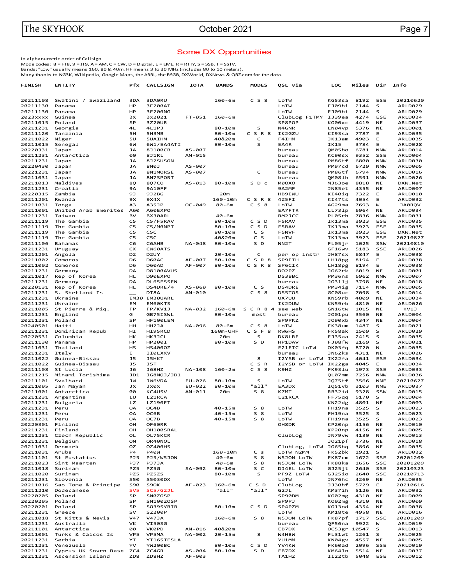#### Some DX Opportunities

In alphanumeric order of Callsign<br>Mode codes: 8 = FT8, 9 = JT9, A = AM, C = CW, D = Digital, E = EME, R = RTTY, S = SSB, T = SSTV.<br>Bands: "Low" usually means 160, 80 & 40m. HF means 3 to 30 MHz (includes 80 to 10 meters).<br>

| <b>FINISH</b>             | <b>ENTITY</b>                                     | Pfx                  | <b>CALLSIGN</b>       | <b>IOTA</b>      | <b>BANDS</b>             | <b>MODES</b>              | QSL via                        | LOC                    | Miles        | Dir                      | Info                 |
|---------------------------|---------------------------------------------------|----------------------|-----------------------|------------------|--------------------------|---------------------------|--------------------------------|------------------------|--------------|--------------------------|----------------------|
|                           |                                                   |                      |                       |                  |                          |                           |                                |                        |              |                          |                      |
| 20211108                  | Swatini / Swaziland                               | 3DA                  | 3DA0RU                |                  | $160 - 6m$               | $C$ S $8$                 | LoTW                           | KG53sa                 | 8192         | ESE                      | 20210620             |
| 20211130                  | Panama                                            | HP                   | 3F200AT               |                  |                          |                           | LoTW                           | FJ09bi                 | 2144         | s                        | ARLD029              |
| 20211130                  | Panama                                            | HP                   | 3F200NG               |                  |                          |                           | LoTW                           | FJ09bi                 | 2144         | s                        | ARLD029              |
| 2023xxxx<br>20211015      | Guinea<br>Poland                                  | ЗΧ<br>SP             | 3X2021<br>3Z20UR      | FT-051           | $160 - 6m$               |                           | ClubLog F1TMY<br>SP8POP        | IJ39ea<br>K000xc       | 4274<br>4419 | ESE<br>NE                | ARLD034<br>ARLD037   |
| 20211231                  | Georgia                                           | 4L                   | 4L1PJ                 |                  | $80 - 10m$               | S                         | N4GNR                          | LN04vp                 | 5376         | NE                       | ARLD001              |
| 20211120                  | Tanzania                                          | 5H                   | 5H3MB                 |                  | 80-10m                   | CSR8                      | IK2GZU                         | KI93sa                 | 7787         | E                        | ARLD035              |
| 20211022                  | Niger                                             | 5U                   | 5UAIHM                |                  | 40&20m                   | c                         | F4IHM                          | JK13am                 | 4903         | Е                        | ARLD035              |
| 20211015                  | Senegal                                           | 6W                   | 6W1/EA4ATI            |                  | 80-10m                   | S                         | EA4R                           | IK15                   | 3784         | Е                        | ARLD028              |
| 20220331                  | Japan                                             | <b>JA</b>            | 8J100CB               | AS-007           |                          |                           | bureau                         | QM05bo                 | 6781         | <b>NNW</b>               | ARLD014              |
| 20211231                  | Antarctica                                        | 00                   | 8J1RL                 | AN-015           |                          |                           | bureau                         | KC90sx                 | 9352         | <b>SSE</b>               | ARLD004              |
| 20211231                  | Japan                                             | JА                   | 8J2SUSON              |                  |                          |                           | bureau                         | PM86tf                 | 6800         | <b>NNW</b>               | ARLD030              |
| 20220430                  | Japan                                             | <b>JA</b>            | CON8                  | AS-007           |                          |                           | bureau                         | PM97cd                 | 6729         | <b>NNW</b>               | <b>ARLD005</b>       |
| 20221231                  | Japan                                             | <b>JA</b>            | 8N1MORSE              | AS-007           |                          | C                         | bureau                         | PM86tf                 | 6794         | <b>NNW</b>               | ARLD016              |
| 20211031<br>20211013      | Japan<br>Maldives                                 | JА<br>8Q             | 8N7SPORT<br>8Q7CQ     | AS-013           | $80 - 10m$               | S D c                     | bureau<br>M0OXO                | QM081h<br>MJ63oe       | 6591<br>8818 | <b>NNW</b><br>NE         | ARLD026<br>DXW.Net   |
| 20211231                  | Croatia                                           | 9Α                   | <b>9A10FF</b>         |                  |                          |                           | 9A2MF                          | JN85et                 | 4355         | <b>NE</b>                | ARLD007              |
| 20220315                  | Zambia                                            | 9J                   | 9J2BG                 |                  | 20m                      |                           | <b>HB9EWU</b>                  | KI40iq                 | 7322         | Е                        | ARLD010              |
| 20211201                  | Rwanda                                            | 9X                   | 9X4X                  |                  | $160 - 10m$              | C S R 8                   | 4Z5FI                          | KI47ts                 | 4054         | E                        | ARLD032              |
| 20211031                  | Tonga                                             | A3                   | A35JP                 | OC-049           | $80 - 6m$                | $C_S8$                    | LoTW                           | AG29ma                 | 7693         | W                        | JA0RQV               |
| 20211001                  | United Arab Emerites                              | A60                  | A60EXPO               |                  |                          |                           | EA7FTR                         | LL731p                 | 6964         | NE                       | ARLD034              |
| 20211231                  | Taiwan                                            | BV                   | BX30ARL               |                  | $40 - 6m$                |                           | BM2JCC                         | PL05rb                 | 7836         | <b>NNW</b>               | ARLD031              |
| 20211119                  | The Gambia                                        | C5                   | C5/F5RAV              |                  | 80-10m                   | CSD                       | <b>F5RAV</b>                   | IK13ma                 | 3923         | ESE                      | ARLD035              |
| 20211119                  | The Gambia                                        | C <sub>5</sub>       | C5/M0NPT              |                  | 80-10m                   | C S D                     | <b>F5RAV</b>                   | IK13ma                 | 3923         | ESE                      | ARLD035              |
| 20211119                  | The Gambia                                        | C5                   | C5C                   |                  | $80 - 10m$               | c s                       | <b>F5NVF</b>                   | IK13ma                 | 3923         | ESE                      | DXW.Net              |
| 20211119                  | The Gambia                                        | C5                   | C5C                   |                  | 40&20m                   | C S<br>S D                | LoTW                           | IK13ma                 | 3923<br>1025 | <b>ESE</b>               | 20210827             |
| 20211106<br>20211231      | Bahamas<br>Uruguay                                | C6<br>СX             | C6AHB<br>CW60ATS      | NA-048           | 80-10m                   |                           | NN <sub>2</sub> T              | FL05jr<br>GF16wv       | 5183         | SSW<br><b>SSE</b>        | 20210810<br>ARLD026  |
| 20211201                  | Angola                                            | D <sub>2</sub>       | D <sub>2</sub> UY     |                  | $20 - 10m$               | C                         | per op instr                   | JH87sx                 | 6847         | E                        | ARLD038              |
| 20211002                  | Comoros                                           | D6                   | D60AC                 | AF-007           | 80-10m                   | CSR8                      | SP9FIH                         | LH18pg                 | 8194         | E                        | ARLD038              |
| 20211002                  | Comoros                                           | D <sub>6</sub>       | D60AD                 | AF-007           | 80-10m                   | C S R 8                   | <b>SP6CIK</b>                  | LH18pg                 | 8194         | Е                        | ARLD038              |
| 20211231                  | Germany                                           | DA                   | <b>D8100AVUS</b>      |                  |                          |                           | DO2PZ                          | J062rk                 | 6019         | <b>NE</b>                | ARLD001              |
| 20211017                  | Rep of Korea                                      | <b>HL</b>            | D90EXPO               |                  |                          |                           | DS3BBC                         | PM36ns                 | 6962         | <b>NNW</b>               | <b>ARLD007</b>       |
| 20211231                  | Germany                                           | DA                   | DL65ESSEN             |                  |                          |                           | bureau                         | J0311j                 | 3798         | NE                       | <b>ARLD018</b>       |
| 20220131                  | Rep of Korea                                      | <b>HL</b>            | DS4DRE/4              | AS-060           | 80-10m                   | C S                       | DS4DRE                         | PM34ig                 | 7114         | <b>NNW</b>               | ARLD005              |
| 20211231                  | S. Shetland Is                                    |                      | DT8A                  | AN-010           |                          | $C_S8$                    | <b>DS5TOS</b>                  | GC08uc                 | 7098         | S                        | ARLD014              |
| 20211231                  | Ukraine                                           |                      | EM30 EM30UARL         |                  |                          |                           | UX7UU                          | KN59rb                 | 4809         | <b>NE</b>                | ARLD034              |
| 20211231                  | Ukraine                                           | EM<br>FP             | EM60KTS               | NA-032           | $160 - 6m$               |                           | IK2DUW                         | KN59rb                 | 4810<br>1015 | <b>NE</b><br>NE          | ARLD026              |
| 20211005<br>20211231      | St Pierre & Miq.<br>England                       | G                    | FP/KV1J<br>GB75ISWL   |                  | $80 - 10m$               | S C R 8 4 see web<br>most | bureau                         | GN16tw<br>J001pu       | 3560         | <b>NE</b>                | KV1J<br>ARLD004      |
| 20211231                  | Poland                                            | SP                   | HF100LEM              |                  |                          |                           | SP9PKZ                         | J090xb                 | 4347         | <b>NE</b>                | ARLD004              |
| 20240501                  | Haiti                                             | HH                   | HH2JA                 | NA-096           | $80 - 6m$                | $C_S8$                    | LoTW                           | FK38um                 | 1487         | S                        | ARLD021              |
| 20211231                  | Dominican Repub                                   | НI                   | HI95RCD               |                  | 160m-UHF                 | CSF8                      | <b>RW6HS</b>                   | FK58ak                 | 1509         | s                        | ARLD029              |
| 20220531                  | Columbia                                          | HK                   | HK3JCL                |                  | 20m                      | s                         | DK8LRF                         | FJ35aa                 | 2415         | s                        | ARLD035              |
| 20211130                  | Panama                                            | HP                   | HP200I                |                  | $80 - 10m$               | S D                       | HP1DAV                         | FJ08fw                 | 2169         | s                        | ARLD021              |
| 20211031                  | Thailand                                          | HS                   | HS4000Z               |                  |                          |                           | E21EIC LOTW                    | OK03fq                 | 8720         | N                        | ARLD035              |
| 20211231                  | Italy                                             | I                    | II0LXXV               |                  |                          |                           | bureau                         | JN62ks                 | 4311         | NE                       | ARLD026              |
| 20211022<br>20211022      | Guinea-Bissau<br>Guinea-Bissau                    | J5<br>J <sub>5</sub> | <b>J5HKT</b><br>J5T   |                  |                          | 8<br>C S R                | I2YSB or LoTW<br>I2YSB or LoTW | IK22fa<br>IK22ga       | 4041<br>4045 | ESE<br>E                 | ARLD034<br>ARLD034   |
| 20211108                  | St Lucia                                          | J6                   | <b>J68HZ</b>          | NA-108           | $160 - 2m$               | $C_S8$                    | K9HZ                           | FK931u                 | 1973         | <b>SSE</b>               | ARLD033              |
| 20211215                  | Minami Torishima                                  | JD1                  | JG8NQJ/JD1            |                  |                          |                           |                                | QL07mm                 | 7256         | <b>NNW</b>               | ARLD036              |
| 20211101                  | Svalbard                                          | JW                   | <b>JW6VDA</b>         | EU-026           | $80 - 10m$               | S                         | LoTW                           | JQ75tf                 | 3566         | <b>NNE</b>               | 20210627             |
| 20211005                  | Jan Mayan                                         | JХ                   | JX0X                  | EU-022           | 80-10m                   | "all"                     | EA3DX                          | IQ51vb                 | 3103         | <b>NNE</b>               | ARLD037              |
| 20211001                  | Antarctica                                        | 00                   | KC4USV                | AN-011           | 20m                      | $S_8$                     | K7MT                           | RB32id                 | 9328         | SSW                      | ARLD015              |
| 20211231                  | Argentina                                         | LU                   | L21RCA                |                  |                          |                           | L21RCA                         | FF75qq                 | 5170         | s                        | ARLD004              |
| 20211231                  | Bulgaria                                          | LZ                   | <b>LZ190FT</b>        |                  |                          |                           |                                | KN22dg                 | 4801         | NE                       | ARLD003              |
| 20211231                  | Peru                                              | <b>OA</b>            | OC4B                  |                  | $40 - 15m$               | S <sub>8</sub>            | LoTW                           | FH19na                 | 3525         | S<br>S                   | ARLD023              |
| 20211231<br>20211231 Peru | Peru                                              | OA<br>0A             | OC6B<br>OC7B          |                  | $40 - 15m$<br>$40 - 15m$ | $S_8$<br>$S_8$            | LoTW<br>LoTW                   | FH19na<br>FH19na       | 3525<br>3525 | S                        | ARLD023<br>ARLD023   |
| 20220301 Finland          |                                                   | OH                   | OF60RR                |                  |                          |                           | OH8DR                          | KP20np                 | 4156         | NE                       | ARLD010              |
| 20211231 Finland          |                                                   | OH                   | OH100SRAL             |                  |                          |                           |                                | KP20np                 | 4156         | NE                       | <b>ARLD005</b>       |
|                           | 20211231 Czech Republic                           | OL                   | OL75KCR               |                  |                          |                           | ClubLog                        | JN79vw                 | 4130         | NE                       | ARLD013              |
| 20211231                  | Belgium                                           | ON                   | OR40NOL               |                  |                          |                           |                                | JO21pf                 | 3736         | NE                       | ARLD018              |
| 20211031 Denmark          |                                                   | oz                   | 0Z400HS               |                  |                          |                           | ClubLog, LoTW                  | J065hq                 | 3896         | NE                       | ARLD035              |
| 20211031 Aruba            |                                                   | P4                   | <b>P40W</b>           |                  | $160 - 10m$              | C <sub>s</sub>            | LoTW N2MM                      | FK52bk                 | 1921         | S                        | ARLD032              |
| 20211101                  | St Eustatius                                      | PJ5                  | PJ5/W5JON             |                  | 40-6m                    | $S_8$                     | W5JON LOTW                     | FK87cm                 | 1672         | SSE                      | 20201209             |
| 20211023                  | Sint Maarten                                      | PJ7                  | <b>PJ7JA</b>          |                  | 40-6m                    | $S_8$                     | W5JON LOTW                     | FK88ka                 | 1656         | <b>SSE</b>               | 20201209             |
| 20211018<br>20211020      | Surinam<br>Surinam                                | PZ5<br>PZ5           | PZ5G<br>PZ5ZS         | SA-092           | $80 - 10m$<br>$80 - 10m$ | S C<br>s                  | DJ4EL LOTW<br>PF9Z LoTW        | GJ25jt<br>GJ25io       | 2640<br>2640 | <b>SSE</b><br><b>SSE</b> | 20210323<br>20210713 |
| 20211231                  | Slovenia                                          | <b>S50</b>           | S5030DX               |                  |                          |                           | LoTW                           | JN76hc                 | 4269         | NE                       | ARLD035              |
| 20211016                  | Sao Tome & Principe                               | S90                  | S90K                  | AF-023           | $160 - 6m$               | CSD                       | ClubLog                        | JJ30hf                 | 5729         | Е                        | 20210616             |
| 20211210                  | Dodecanese                                        | SV <sub>5</sub>      | SC5/G2JL              |                  | "all"                    | "all"                     | G2JL                           | KM37ih                 | 5126         | NE                       | ARLD032              |
| 20220205                  | Poland                                            | SP                   | SN0ZOSP               |                  |                          |                           | SP90DM                         | K002mg                 | 4310         | NE                       | ARLD009              |
| 20220205                  | Poland                                            | SP                   | SN100ZOSP             |                  |                          |                           | SP9PJ                          | K002mg                 | 4310         | NE                       | ARLD009              |
| 20220201                  | Poland                                            | SP                   | S039SYBIR             |                  | 80-10m                   | CSD                       | SP4PZM                         | K013od                 | 4354         | NE                       | ARLD038              |
| 20211231                  | Greece                                            | sv                   | <b>SZ200P</b>         |                  |                          |                           | LoTW                           | KM18te                 | 4958         | NE                       | ARLD016              |
| 20211018                  | St Kitts & Nevis                                  | V47                  | <b>V47JA</b>          |                  | $160 - 6m$               | S <sub>8</sub>            | W5JON LOTW                     | FK87pf                 | 1717         | SSE                      | 20201209             |
|                           | 20211231 Australia                                | VK                   | VI50SG                |                  |                          |                           | bureau                         | QF56na                 | 9922         | W                        | ARLD019              |
|                           | 20211101 Antarctica<br>20211001 Turks & Caicos Is | 00<br>VP5            | <b>VKØPD</b><br>VP5MA | AN-016<br>NA-002 | 40&20m<br>$20 - 15m$     | 8                         | EB7DX<br>W4HBW                 | OC53gr 10547<br>FL31wt | 1261         | s<br>s                   | ARLD013<br>ARLD025   |
| 20211231                  | Serbia                                            | YT                   | YT165TESLA            |                  |                          |                           | YU1MM                          | KN04gv                 | 4557         | NE                       | <b>ARLD005</b>       |
|                           | 20211231 Venezuela                                | YV                   | YW200BC               |                  | 80-10m                   | CSD                       | YV4KW                          | FK60ad                 | 2096         | SSE                      | ARLD019              |
|                           | 20211231 Cyprus UK Sovrn Base ZC4                 |                      | ZC4GR                 | AS-004           | $80 - 10m$               | S D                       | EB7DX                          | KM64ln                 | 5514         | <b>NE</b>                | ARLD037              |
|                           | 20211231 Ascension Island                         | ZD8                  | ZD8HZ                 | AF-003           |                          |                           | TA1HZ                          | II22tb                 | 5048         | ESE                      | ARLD012              |